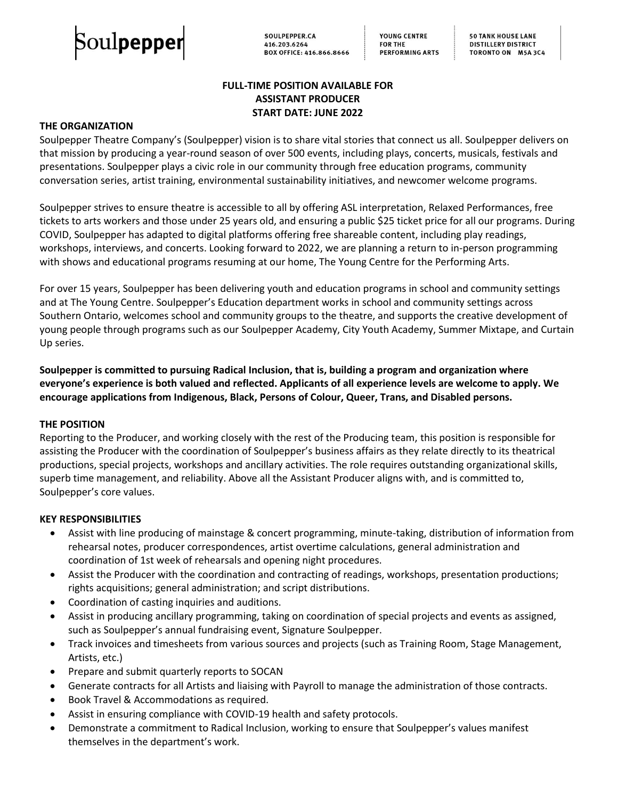

**50 TANK HOUSE LANE DISTILLERY DISTRICT** TORONTO ON M5A 3C4

# **FULL-TIME POSITION AVAILABLE FOR ASSISTANT PRODUCER START DATE: JUNE 2022**

### **THE ORGANIZATION**

Soulpepper Theatre Company's (Soulpepper) vision is to share vital stories that connect us all. Soulpepper delivers on that mission by producing a year-round season of over 500 events, including plays, concerts, musicals, festivals and presentations. Soulpepper plays a civic role in our community through free education programs, community conversation series, artist training, environmental sustainability initiatives, and newcomer welcome programs.

Soulpepper strives to ensure theatre is accessible to all by offering ASL interpretation, Relaxed Performances, free tickets to arts workers and those under 25 years old, and ensuring a public \$25 ticket price for all our programs. During COVID, Soulpepper has adapted to digital platforms offering free shareable content, including play readings, workshops, interviews, and concerts. Looking forward to 2022, we are planning a return to in-person programming with shows and educational programs resuming at our home, The Young Centre for the Performing Arts.

For over 15 years, Soulpepper has been delivering youth and education programs in school and community settings and at The Young Centre. Soulpepper's Education department works in school and community settings across Southern Ontario, welcomes school and community groups to the theatre, and supports the creative development of young people through programs such as our Soulpepper Academy, City Youth Academy, Summer Mixtape, and Curtain Up series.

**Soulpepper is committed to pursuing Radical Inclusion, that is, building a program and organization where everyone's experience is both valued and reflected. Applicants of all experience levels are welcome to apply. We encourage applications from Indigenous, Black, Persons of Colour, Queer, Trans, and Disabled persons.**

#### **THE POSITION**

Reporting to the Producer, and working closely with the rest of the Producing team, this position is responsible for assisting the Producer with the coordination of Soulpepper's business affairs as they relate directly to its theatrical productions, special projects, workshops and ancillary activities. The role requires outstanding organizational skills, superb time management, and reliability. Above all the Assistant Producer aligns with, and is committed to, Soulpepper's core values.

#### **KEY RESPONSIBILITIES**

- Assist with line producing of mainstage & concert programming, minute-taking, distribution of information from rehearsal notes, producer correspondences, artist overtime calculations, general administration and coordination of 1st week of rehearsals and opening night procedures.
- Assist the Producer with the coordination and contracting of readings, workshops, presentation productions; rights acquisitions; general administration; and script distributions.
- Coordination of casting inquiries and auditions.
- Assist in producing ancillary programming, taking on coordination of special projects and events as assigned, such as Soulpepper's annual fundraising event, Signature Soulpepper.
- Track invoices and timesheets from various sources and projects (such as Training Room, Stage Management, Artists, etc.)
- Prepare and submit quarterly reports to SOCAN
- Generate contracts for all Artists and liaising with Payroll to manage the administration of those contracts.
- Book Travel & Accommodations as required.
- Assist in ensuring compliance with COVID-19 health and safety protocols.
- Demonstrate a commitment to Radical Inclusion, working to ensure that Soulpepper's values manifest themselves in the department's work.